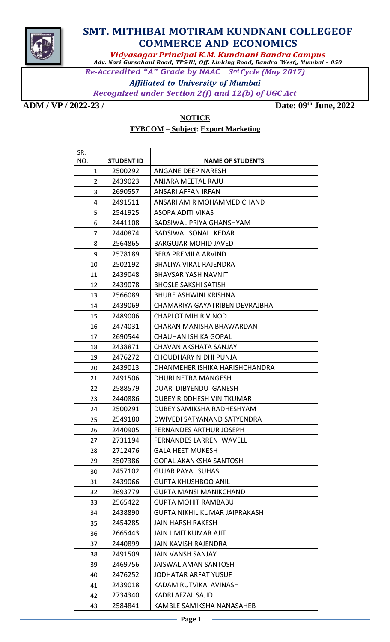

## **SMT. MITHIBAI MOTIRAM KUNDNANI COLLEGEOF COMMERCE AND ECONOMICS**

*Vidyasagar Principal K.M. Kundnani Bandra Campus Adv. Nari Gursahani Road, TPS-III, Off. Linking Road, Bandra (West), Mumbai – 050*

Re-Accredited "A" Grade by NAAC - 3rd Cycle (May 2017)

**Affiliated to University of Mumbai Recognized under Section 2(f) and 12(b) of UGC Act** 

**ADM / VP / 2022-23 / Date: 09th June, 2022**

## **NOTICE TYBCOM – Subject: Export Marketing**

| SR. |                   |                                      |
|-----|-------------------|--------------------------------------|
| NO. | <b>STUDENT ID</b> | <b>NAME OF STUDENTS</b>              |
| 1   | 2500292           | ANGANE DEEP NARESH                   |
| 2   | 2439023           | ANJARA MEETAL RAJU                   |
| 3   | 2690557           | ANSARI AFFAN IRFAN                   |
| 4   | 2491511           | ANSARI AMIR MOHAMMED CHAND           |
| 5   | 2541925           | ASOPA ADITI VIKAS                    |
| 6   | 2441108           | BADSIWAL PRIYA GHANSHYAM             |
| 7   | 2440874           | <b>BADSIWAL SONALI KEDAR</b>         |
| 8   | 2564865           | BARGUJAR MOHID JAVED                 |
| 9   | 2578189           | BERA PREMILA ARVIND                  |
| 10  | 2502192           | <b>BHALIYA VIRAL RAJENDRA</b>        |
| 11  | 2439048           | <b>BHAVSAR YASH NAVNIT</b>           |
| 12  | 2439078           | <b>BHOSLE SAKSHI SATISH</b>          |
| 13  | 2566089           | <b>BHURE ASHWINI KRISHNA</b>         |
| 14  | 2439069           | CHAMARIYA GAYATRIBEN DEVRAJBHAI      |
| 15  | 2489006           | CHAPLOT MIHIR VINOD                  |
| 16  | 2474031           | CHARAN MANISHA BHAWARDAN             |
| 17  | 2690544           | <b>CHAUHAN ISHIKA GOPAL</b>          |
| 18  | 2438871           | CHAVAN AKSHATA SANJAY                |
| 19  | 2476272           | CHOUDHARY NIDHI PUNJA                |
| 20  | 2439013           | DHANMEHER ISHIKA HARISHCHANDRA       |
| 21  | 2491506           | DHURI NETRA MANGESH                  |
| 22  | 2588579           | DUARI DIBYENDU GANESH                |
| 23  | 2440886           | DUBEY RIDDHESH VINITKUMAR            |
| 24  | 2500291           | DUBEY SAMIKSHA RADHESHYAM            |
| 25  | 2549180           | DWIVEDI SATYANAND SATYENDRA          |
| 26  | 2440905           | <b>FERNANDES ARTHUR JOSEPH</b>       |
| 27  | 2731194           | <b>FERNANDES LARREN WAVELL</b>       |
| 28  | 2712476           | <b>GALA HEET MUKESH</b>              |
| 29  | 2507386           | GOPAL AKANKSHA SANTOSH               |
| 30  | 2457102           | <b>GUJAR PAYAL SUHAS</b>             |
| 31  | 2439066           | <b>GUPTA KHUSHBOO ANIL</b>           |
| 32  | 2693779           | <b>GUPTA MANSI MANIKCHAND</b>        |
| 33  | 2565422           | <b>GUPTA MOHIT RAMBABU</b>           |
| 34  | 2438890           | <b>GUPTA NIKHIL KUMAR JAIPRAKASH</b> |
| 35  | 2454285           | JAIN HARSH RAKESH                    |
| 36  | 2665443           | <b>JAIN JIMIT KUMAR AJIT</b>         |
| 37  | 2440899           | <b>JAIN KAVISH RAJENDRA</b>          |
| 38  | 2491509           | <b>JAIN VANSH SANJAY</b>             |
| 39  | 2469756           | <b>JAISWAL AMAN SANTOSH</b>          |
| 40  | 2476252           | JODHATAR ARFAT YUSUF                 |
| 41  | 2439018           | KADAM RUTVIKA AVINASH                |
| 42  | 2734340           | KADRI AFZAL SAJID                    |
| 43  | 2584841           | KAMBLE SAMIKSHA NANASAHEB            |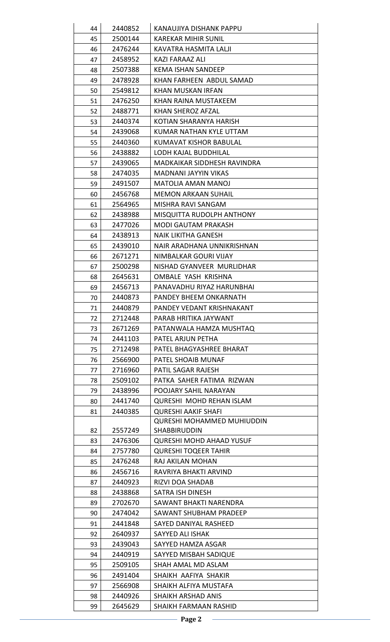| 44 | 2440852 | KANAUJIYA DISHANK PAPPU           |
|----|---------|-----------------------------------|
| 45 | 2500144 | <b>KAREKAR MIHIR SUNIL</b>        |
| 46 | 2476244 | KAVATRA HASMITA LALJI             |
| 47 | 2458952 | KAZI FARAAZ ALI                   |
| 48 | 2507388 | <b>KEMA ISHAN SANDEEP</b>         |
| 49 | 2478928 | KHAN FARHEEN ABDUL SAMAD          |
| 50 | 2549812 | KHAN MUSKAN IRFAN                 |
| 51 | 2476250 | KHAN RAINA MUSTAKEEM              |
| 52 | 2488771 | KHAN SHEROZ AFZAL                 |
| 53 | 2440374 | KOTIAN SHARANYA HARISH            |
| 54 | 2439068 | KUMAR NATHAN KYLE UTTAM           |
| 55 | 2440360 | KUMAVAT KISHOR BABULAL            |
| 56 | 2438882 | LODH KAJAL BUDDHILAL              |
| 57 | 2439065 | MADKAIKAR SIDDHESH RAVINDRA       |
| 58 | 2474035 | <b>MADNANI JAYYIN VIKAS</b>       |
| 59 | 2491507 | MATOLIA AMAN MANOJ                |
| 60 | 2456768 | <b>MEMON ARKAAN SUHAIL</b>        |
| 61 | 2564965 | MISHRA RAVI SANGAM                |
| 62 | 2438988 | MISQUITTA RUDOLPH ANTHONY         |
| 63 | 2477026 | MODI GAUTAM PRAKASH               |
| 64 | 2438913 | NAIK LIKITHA GANESH               |
| 65 | 2439010 | NAIR ARADHANA UNNIKRISHNAN        |
| 66 | 2671271 | NIMBALKAR GOURI VIJAY             |
| 67 | 2500298 | NISHAD GYANVEER MURLIDHAR         |
| 68 | 2645631 | OMBALE YASH KRISHNA               |
| 69 | 2456713 | PANAVADHU RIYAZ HARUNBHAI         |
| 70 | 2440873 | PANDEY BHEEM ONKARNATH            |
| 71 | 2440879 | PANDEY VEDANT KRISHNAKANT         |
| 72 | 2712448 | PARAB HRITIKA JAYWANT             |
| 73 | 2671269 | PATANWALA HAMZA MUSHTAQ           |
| 74 | 2441103 | PATEL ARJUN PETHA                 |
| 75 | 2712498 | PATEL BHAGYASHREE BHARAT          |
| 76 | 2566900 | PATEL SHOAIB MUNAF                |
| 77 | 2716960 | PATIL SAGAR RAJESH                |
| 78 | 2509102 | PATKA SAHER FATIMA RIZWAN         |
| 79 | 2438996 | POOJARY SAHIL NARAYAN             |
| 80 | 2441740 | <b>QURESHI MOHD REHAN ISLAM</b>   |
| 81 | 2440385 | <b>QURESHI AAKIF SHAFI</b>        |
|    |         | <b>QURESHI MOHAMMED MUHIUDDIN</b> |
| 82 | 2557249 | <b>SHABBIRUDDIN</b>               |
| 83 | 2476306 | <b>QURESHI MOHD AHAAD YUSUF</b>   |
| 84 | 2757780 | <b>QURESHI TOQEER TAHIR</b>       |
| 85 | 2476248 | RAJ AKILAN MOHAN                  |
| 86 | 2456716 | RAVRIYA BHAKTI ARVIND             |
| 87 | 2440923 | RIZVI DOA SHADAB                  |
| 88 | 2438868 | SATRA ISH DINESH                  |
| 89 | 2702670 | SAWANT BHAKTI NARENDRA            |
| 90 | 2474042 | SAWANT SHUBHAM PRADEEP            |
| 91 | 2441848 | SAYED DANIYAL RASHEED             |
| 92 | 2640937 | SAYYED ALI ISHAK                  |
| 93 | 2439043 | SAYYED HAMZA ASGAR                |
| 94 | 2440919 | SAYYED MISBAH SADIQUE             |
| 95 | 2509105 | SHAH AMAL MD ASLAM                |
| 96 | 2491404 | SHAIKH AAFIYA SHAKIR              |
| 97 | 2566908 | SHAIKH ALFIYA MUSTAFA             |
| 98 | 2440926 | SHAIKH ARSHAD ANIS                |
| 99 | 2645629 | SHAIKH FARMAAN RASHID             |